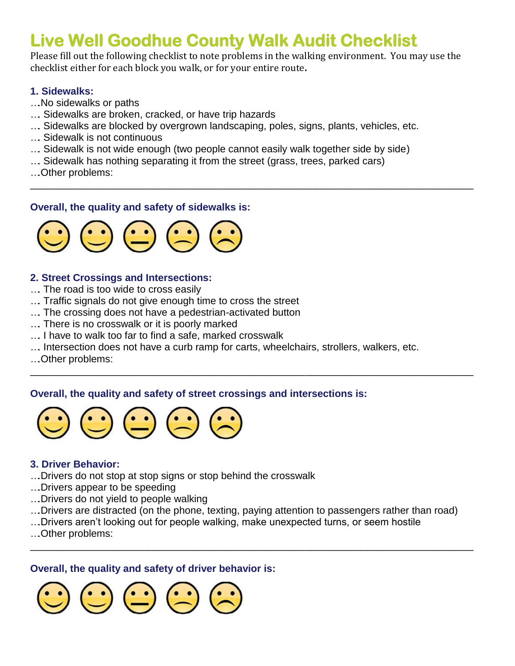# **Live Well Goodhue County Walk Audit Checklist**

Please fill out the following checklist to note problems in the walking environment. You may use the checklist either for each block you walk, or for your entire route**.**

\_\_\_\_\_\_\_\_\_\_\_\_\_\_\_\_\_\_\_\_\_\_\_\_\_\_\_\_\_\_\_\_\_\_\_\_\_\_\_\_\_\_\_\_\_\_\_\_\_\_\_\_\_\_\_\_\_\_\_\_\_\_\_\_\_\_\_\_\_\_\_\_\_\_\_\_\_\_\_

## **1. Sidewalks:**

- ….No sidewalks or paths
- …. Sidewalks are broken, cracked, or have trip hazards
- …. Sidewalks are blocked by overgrown landscaping, poles, signs, plants, vehicles, etc.
- …. Sidewalk is not continuous
- …. Sidewalk is not wide enough (two people cannot easily walk together side by side)
- …. Sidewalk has nothing separating it from the street (grass, trees, parked cars)
- ….Other problems:

# **Overall, the quality and safety of sidewalks is:**



# **2. Street Crossings and Intersections:**

- …. The road is too wide to cross easily
- …. Traffic signals do not give enough time to cross the street
- …. The crossing does not have a pedestrian-activated button
- …. There is no crosswalk or it is poorly marked
- …. I have to walk too far to find a safe, marked crosswalk
- …. Intersection does not have a curb ramp for carts, wheelchairs, strollers, walkers, etc.

\_\_\_\_\_\_\_\_\_\_\_\_\_\_\_\_\_\_\_\_\_\_\_\_\_\_\_\_\_\_\_\_\_\_\_\_\_\_\_\_\_\_\_\_\_\_\_\_\_\_\_\_\_\_\_\_\_\_\_\_\_\_\_\_\_\_\_\_\_\_\_\_\_\_\_\_\_\_\_

….Other problems:

# **Overall, the quality and safety of street crossings and intersections is:**



### **3. Driver Behavior:**

- ….Drivers do not stop at stop signs or stop behind the crosswalk
- ….Drivers appear to be speeding
- ….Drivers do not yield to people walking
- ….Drivers are distracted (on the phone, texting, paying attention to passengers rather than road)

\_\_\_\_\_\_\_\_\_\_\_\_\_\_\_\_\_\_\_\_\_\_\_\_\_\_\_\_\_\_\_\_\_\_\_\_\_\_\_\_\_\_\_\_\_\_\_\_\_\_\_\_\_\_\_\_\_\_\_\_\_\_\_\_\_\_\_\_\_\_\_\_\_\_\_\_\_\_\_

- ….Drivers aren't looking out for people walking, make unexpected turns, or seem hostile
- ….Other problems:

### **Overall, the quality and safety of driver behavior is:**